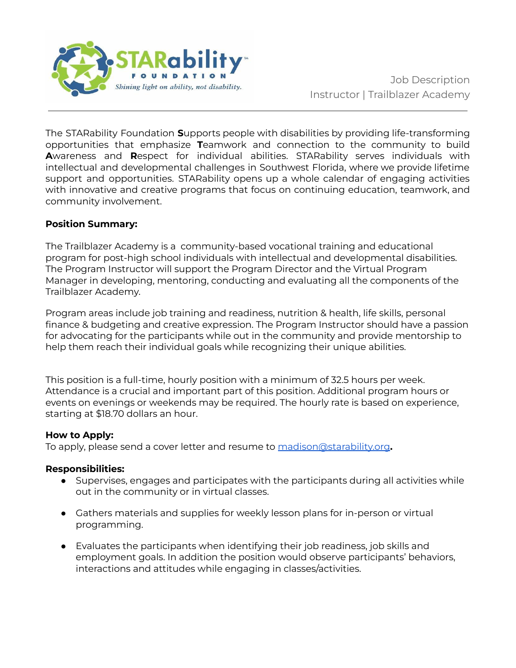

The STARability Foundation **S**upports people with disabilities by providing life-transforming opportunities that emphasize **T**eamwork and connection to the community to build **A**wareness and **R**espect for individual abilities. STARability serves individuals with intellectual and developmental challenges in Southwest Florida, where we provide lifetime support and opportunities. STARability opens up a whole calendar of engaging activities with innovative and creative programs that focus on continuing education, teamwork, and community involvement.

## **Position Summary:**

The Trailblazer Academy is a community-based vocational training and educational program for post-high school individuals with intellectual and developmental disabilities. The Program Instructor will support the Program Director and the Virtual Program Manager in developing, mentoring, conducting and evaluating all the components of the Trailblazer Academy.

Program areas include job training and readiness, nutrition & health, life skills, personal finance & budgeting and creative expression. The Program Instructor should have a passion for advocating for the participants while out in the community and provide mentorship to help them reach their individual goals while recognizing their unique abilities.

This position is a full-time, hourly position with a minimum of 32.5 hours per week. Attendance is a crucial and important part of this position. Additional program hours or events on evenings or weekends may be required. The hourly rate is based on experience, starting at \$18.70 dollars an hour.

## **How to Apply:**

To apply, please send a cover letter and resume to [madison@starability.org](mailto:madison@starability.org)**.**

## **Responsibilities:**

- Supervises, engages and participates with the participants during all activities while out in the community or in virtual classes.
- Gathers materials and supplies for weekly lesson plans for in-person or virtual programming.
- Evaluates the participants when identifying their job readiness, job skills and employment goals. In addition the position would observe participants' behaviors, interactions and attitudes while engaging in classes/activities.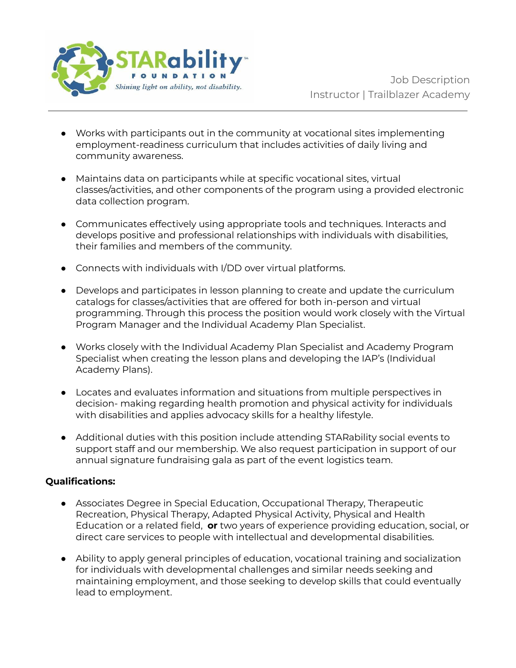

- Works with participants out in the community at vocational sites implementing employment-readiness curriculum that includes activities of daily living and community awareness.
- Maintains data on participants while at specific vocational sites, virtual classes/activities, and other components of the program using a provided electronic data collection program.
- Communicates effectively using appropriate tools and techniques. Interacts and develops positive and professional relationships with individuals with disabilities, their families and members of the community.
- Connects with individuals with I/DD over virtual platforms.
- Develops and participates in lesson planning to create and update the curriculum catalogs for classes/activities that are offered for both in-person and virtual programming. Through this process the position would work closely with the Virtual Program Manager and the Individual Academy Plan Specialist.
- Works closely with the Individual Academy Plan Specialist and Academy Program Specialist when creating the lesson plans and developing the IAP's (Individual Academy Plans).
- Locates and evaluates information and situations from multiple perspectives in decision- making regarding health promotion and physical activity for individuals with disabilities and applies advocacy skills for a healthy lifestyle.
- Additional duties with this position include attending STARability social events to support staff and our membership. We also request participation in support of our annual signature fundraising gala as part of the event logistics team.

## **Qualifications:**

- Associates Degree in Special Education, Occupational Therapy, Therapeutic Recreation, Physical Therapy, Adapted Physical Activity, Physical and Health Education or a related field, **or** two years of experience providing education, social, or direct care services to people with intellectual and developmental disabilities.
- Ability to apply general principles of education, vocational training and socialization for individuals with developmental challenges and similar needs seeking and maintaining employment, and those seeking to develop skills that could eventually lead to employment.